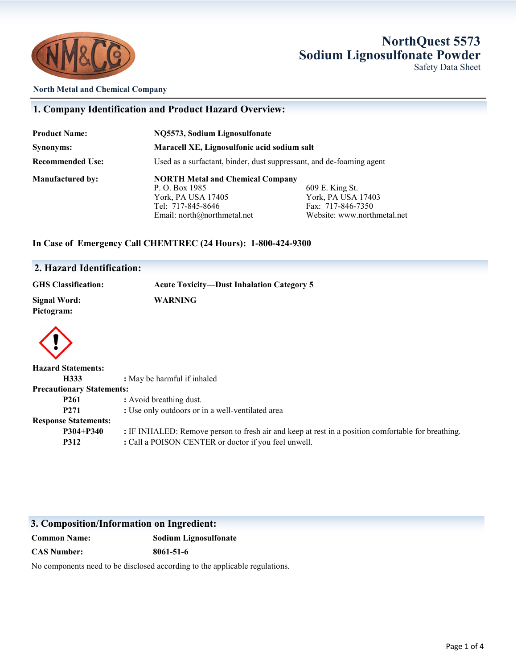

### **NorthQuest 5573 Sodium Lignosulfonate Powder** Safety Data Sheet

#### **North Metal and Chemical Company**

#### **1. Company Identification and Product Hazard Overview:**

| <b>Product Name:</b>    | NQ5573, Sodium Lignosulfonate                                        |                             |
|-------------------------|----------------------------------------------------------------------|-----------------------------|
| Synonyms:               | Maracell XE, Lignosulfonic acid sodium salt                          |                             |
| <b>Recommended Use:</b> | Used as a surfactant, binder, dust suppressant, and de-foaming agent |                             |
| <b>Manufactured by:</b> | <b>NORTH Metal and Chemical Company</b>                              |                             |
|                         | P. O. Box 1985                                                       | 609 E. King St.             |
|                         | York, PA USA 17405                                                   | York, PA USA 17403          |
|                         | Tel: 717-845-8646                                                    | Fax: 717-846-7350           |
|                         | Email: north@northmetal.net                                          | Website: www.northmetal.net |

#### **In Case of Emergency Call CHEMTREC (24 Hours): 1-800-424-9300**

#### **2. Hazard Identification:**

| <b>GHS Classification:</b>       | <b>Acute Toxicity—Dust Inhalation Category 5</b> |  |
|----------------------------------|--------------------------------------------------|--|
| Signal Word:<br>Pictogram:       | <b>WARNING</b>                                   |  |
| <b>Hazard Statements:</b>        |                                                  |  |
|                                  |                                                  |  |
| H333                             | : May be harmful if inhaled                      |  |
| <b>Precautionary Statements:</b> |                                                  |  |
| P <sub>261</sub>                 | : Avoid breathing dust.                          |  |
| P <sub>271</sub>                 | : Use only outdoors or in a well-ventilated area |  |
| <b>Response Statements:</b>      |                                                  |  |

**P312** : Call a POISON CENTER or doctor if you feel unwell.

**P304+P340 :** IF INHALED: Remove person to fresh air and keep at rest in a position comfortable for breathing.

### **3. Composition/Information on Ingredient:**

| <b>Common Name:</b> | <b>Sodium Lignosulfonate</b> |
|---------------------|------------------------------|
| <b>CAS Number:</b>  | 8061-51-6                    |

No components need to be disclosed according to the applicable regulations.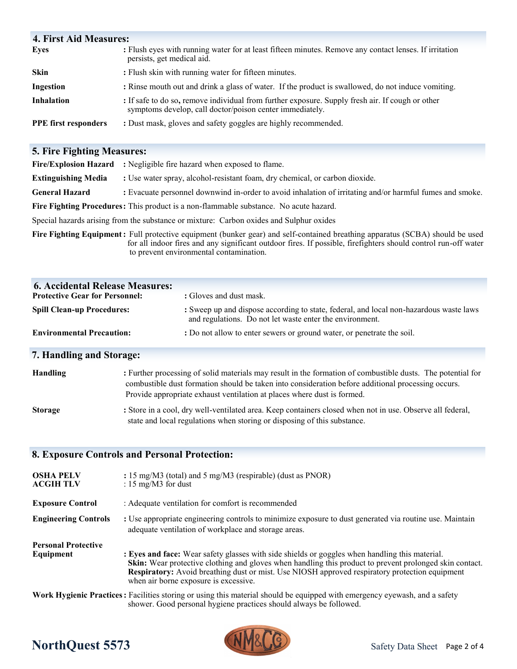| <b>4. First Aid Measures:</b> |                                                                                                                                                              |
|-------------------------------|--------------------------------------------------------------------------------------------------------------------------------------------------------------|
| <b>Eyes</b>                   | : Flush eyes with running water for at least fifteen minutes. Remove any contact lenses. If irritation<br>persists, get medical aid.                         |
| <b>Skin</b>                   | : Flush skin with running water for fifteen minutes.                                                                                                         |
| Ingestion                     | : Rinse mouth out and drink a glass of water. If the product is swallowed, do not induce vomiting.                                                           |
| <b>Inhalation</b>             | : If safe to do so, remove individual from further exposure. Supply fresh air. If cough or other<br>symptoms develop, call doctor/poison center immediately. |
| <b>PPE</b> first responders   | : Dust mask, gloves and safety goggles are highly recommended.                                                                                               |

## **5. Fire Fighting Measures:**

|                                                                                                                               | <b>Fire/Explosion Hazard</b> : Negligible fire hazard when exposed to flame.                             |  |
|-------------------------------------------------------------------------------------------------------------------------------|----------------------------------------------------------------------------------------------------------|--|
| <b>Extinguishing Media</b>                                                                                                    | : Use water spray, alcohol-resistant foam, dry chemical, or carbon dioxide.                              |  |
| <b>General Hazard</b>                                                                                                         | : Evacuate personnel downwind in-order to avoid inhalation of irritating and/or harmful fumes and smoke. |  |
| <b>Fire Fighting Procedures:</b> This product is a non-flammable substance. No acute hazard.                                  |                                                                                                          |  |
| Special hazards arising from the substance or mixture: Carbon oxides and Sulphur oxides                                       |                                                                                                          |  |
| Fire Fighting Equipment: Full protective equipment (bunker gear) and self-contained breathing apparatus (SCBA) should be used |                                                                                                          |  |

**Fire Fighting Equipment:** Full protective equipment (bunker gear) and self-contained breathing apparatus (SCBA) should be used for all indoor fires and any significant outdoor fires. If possible, firefighters should control run-off water to prevent environmental contamination.

| <b>6. Accidental Release Measures:</b><br><b>Protective Gear for Personnel:</b> | : Gloves and dust mask.                                                                                                                            |
|---------------------------------------------------------------------------------|----------------------------------------------------------------------------------------------------------------------------------------------------|
| <b>Spill Clean-up Procedures:</b>                                               | : Sweep up and dispose according to state, federal, and local non-hazardous waste laws<br>and regulations. Do not let waste enter the environment. |
| <b>Environmental Precaution:</b>                                                | : Do not allow to enter sewers or ground water, or penetrate the soil.                                                                             |
| 7. Handling and Storage:                                                        |                                                                                                                                                    |

| <b>Handling</b> | : Further processing of solid materials may result in the formation of combustible dusts. The potential for<br>combustible dust formation should be taken into consideration before additional processing occurs.<br>Provide appropriate exhaust ventilation at places where dust is formed. |
|-----------------|----------------------------------------------------------------------------------------------------------------------------------------------------------------------------------------------------------------------------------------------------------------------------------------------|
| <b>Storage</b>  | : Store in a cool, dry well-ventilated area. Keep containers closed when not in use. Observe all federal,<br>state and local regulations when storing or disposing of this substance.                                                                                                        |

### **8. Exposure Controls and Personal Protection:**

| <b>OSHA PELV</b><br><b>ACGIH TLV</b>    | : 15 mg/M3 (total) and 5 mg/M3 (respirable) (dust as PNOR)<br>: 15 mg/M3 for dust                                                                                                                                                                                                                                                                                  |
|-----------------------------------------|--------------------------------------------------------------------------------------------------------------------------------------------------------------------------------------------------------------------------------------------------------------------------------------------------------------------------------------------------------------------|
| <b>Exposure Control</b>                 | : Adequate ventilation for comfort is recommended                                                                                                                                                                                                                                                                                                                  |
| <b>Engineering Controls</b>             | : Use appropriate engineering controls to minimize exposure to dust generated via routine use. Maintain<br>adequate ventilation of workplace and storage areas.                                                                                                                                                                                                    |
| <b>Personal Protective</b><br>Equipment | : Eyes and face: Wear safety glasses with side shields or goggles when handling this material.<br><b>Skin:</b> Wear protective clothing and gloves when handling this product to prevent prolonged skin contact.<br><b>Respiratory:</b> Avoid breathing dust or mist. Use NIOSH approved respiratory protection equipment<br>when air borne exposure is excessive. |
|                                         | Work Hygienic Practices: Facilities storing or using this material should be equipped with emergency eyewash, and a safety<br>shower. Good personal hygiene practices should always be followed.                                                                                                                                                                   |

# **NorthQuest 5573**

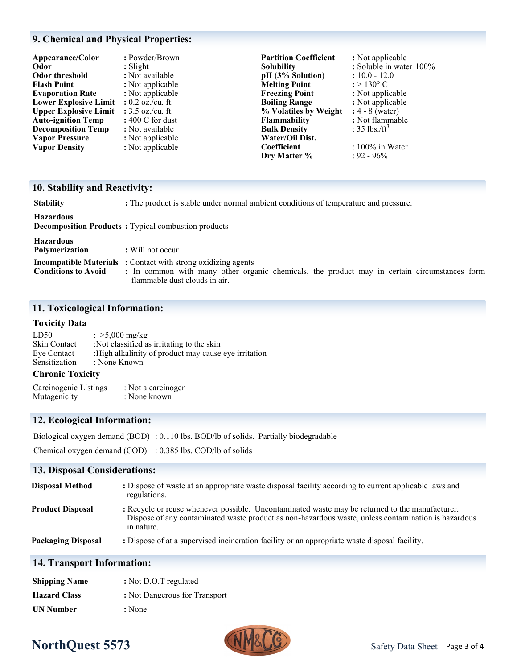#### **9. Chemical and Physical Properties:**

| Appearance/Color             | : Powder/Brown             | <b>Partition Coefficient</b> | : Not applicable                |
|------------------------------|----------------------------|------------------------------|---------------------------------|
| Odor                         | $: S^{light}$              | <b>Solubility</b>            | : Soluble in water 100%         |
| Odor threshold               | : Not available            | pH (3% Solution)             | $: 10.0 - 12.0$                 |
| <b>Flash Point</b>           | : Not applicable           | <b>Melting Point</b>         | $: > 130^{\circ}$ C             |
| <b>Evaporation Rate</b>      | : Not applicable           | <b>Freezing Point</b>        | : Not applicable                |
| <b>Lower Explosive Limit</b> | : $0.2$ oz./cu. ft.        | <b>Boiling Range</b>         | : Not applicable                |
| <b>Upper Explosive Limit</b> | : $3.5$ oz./cu. ft.        | % Volatiles by Weight        | $: 4 - 8$ (water)               |
| <b>Auto-ignition Temp</b>    | $: 400 \text{ C}$ for dust | <b>Flammability</b>          | : Not flammable                 |
| <b>Decomposition Temp</b>    | : Not available            | <b>Bulk Density</b>          | : $35 \text{ lbs.}/\text{ft}^3$ |
| <b>Vapor Pressure</b>        | : Not applicable           | Water/Oil Dist.              |                                 |
| <b>Vapor Density</b>         | : Not applicable           | Coefficient                  | $: 100\%$ in Water              |
|                              |                            | Dry Matter %                 | $: 92 - 96\%$                   |

#### **10. Stability and Reactivity:**

**Stability :** The product is stable under normal ambient conditions of temperature and pressure.

**Hazardous**

**Decomposition Products :** Typical combustion products

#### **Hazardous**

| Polymerization | : Will not occur |
|----------------|------------------|
|----------------|------------------|

**Incompatible Materials :** Contact with strong oxidizing agents

**Conditions to Avoid :** In common with many other organic chemicals, the product may in certain circumstances form flammable dust clouds in air.

#### **11. Toxicological Information:**

#### **Toxicity Data**

| LD50          | : $>5,000$ mg/kg                                      |
|---------------|-------------------------------------------------------|
| Skin Contact  | :Not classified as irritating to the skin             |
| Eye Contact   | : High alkalinity of product may cause eye irritation |
| Sensitization | : None Known                                          |
| $\sim$        |                                                       |

#### **Chronic Toxicity**

| Carcinogenic Listings | : Not a carcinogen |
|-----------------------|--------------------|
| Mutagenicity          | : None known       |

#### **12. Ecological Information:**

Biological oxygen demand (BOD) : 0.110 lbs. BOD/lb of solids. Partially biodegradable

Chemical oxygen demand (COD) : 0.385 lbs. COD/lb of solids

#### **13. Disposal Considerations:**

| <b>Disposal Method</b>    | : Dispose of waste at an appropriate waste disposal facility according to current applicable laws and<br>regulations.                                                                                                |
|---------------------------|----------------------------------------------------------------------------------------------------------------------------------------------------------------------------------------------------------------------|
| <b>Product Disposal</b>   | : Recycle or reuse whenever possible. Uncontaminated waste may be returned to the manufacturer.<br>Dispose of any contaminated waste product as non-hazardous waste, unless contamination is hazardous<br>in nature. |
| <b>Packaging Disposal</b> | : Dispose of at a supervised incineration facility or an appropriate waste disposal facility.                                                                                                                        |

#### **14. Transport Information:**

| <b>Shipping Name</b> | : Not D.O.T regulated         |
|----------------------|-------------------------------|
| <b>Hazard Class</b>  | : Not Dangerous for Transport |
| <b>UN Number</b>     | : None                        |

# **NorthQuest 5573**